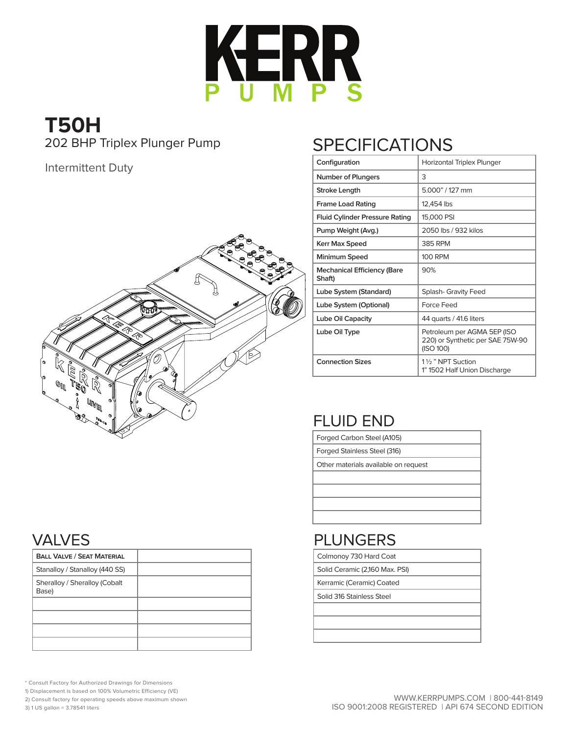

# **T50H** 202 BHP Triplex Plunger Pump

#### Intermittent Duty



# SPECIFICATIONS

| Configuration                                | Horizontal Triplex Plunger                                                   |
|----------------------------------------------|------------------------------------------------------------------------------|
| <b>Number of Plungers</b>                    | 3                                                                            |
| Stroke Length                                | 5.000" / 127 mm                                                              |
| <b>Frame Load Rating</b>                     | 12,454 lbs                                                                   |
| <b>Fluid Cylinder Pressure Rating</b>        | 15,000 PSI                                                                   |
| Pump Weight (Avg.)                           | 2050 lbs / 932 kilos                                                         |
| Kerr Max Speed                               | 385 RPM                                                                      |
| Minimum Speed                                | 100 RPM                                                                      |
| <b>Mechanical Efficiency (Bare</b><br>Shaft) | 90%                                                                          |
| Lube System (Standard)                       | Splash- Gravity Feed                                                         |
| Lube System (Optional)                       | Force Feed                                                                   |
| Lube Oil Capacity                            | 44 quarts / 41.6 liters                                                      |
| Lube Oil Type                                | Petroleum per AGMA 5EP (ISO<br>220) or Synthetic per SAE 75W-90<br>(ISO 100) |
| <b>Connection Sizes</b>                      | 11/ <sub>2</sub> " NPT Suction<br>1" 1502 Half Union Discharge               |

## FLUID END

Forged Carbon Steel (A105)

Forged Stainless Steel (316)

Other materials available on request

#### PLUNGERS

Colmonoy 730 Hard Coat

Solid Ceramic (2,160 Max. PSI)

Kerramic (Ceramic) Coated

Solid 316 Stainless Steel

#### VALVES

| <b>BALL VALVE / SEAT MATERIAL</b>      |  |
|----------------------------------------|--|
| Stanalloy / Stanalloy (440 SS)         |  |
| Sheralloy / Sheralloy (Cobalt<br>Base) |  |
|                                        |  |
|                                        |  |
|                                        |  |
|                                        |  |

\* Consult Factory for Authorized Drawings for Dimensions

1) Displacement is based on 100% Volumetric Efficiency (VE)

2) Consult factory for operating speeds above maximum shown

3) 1 US gallon = 3.78541 liters